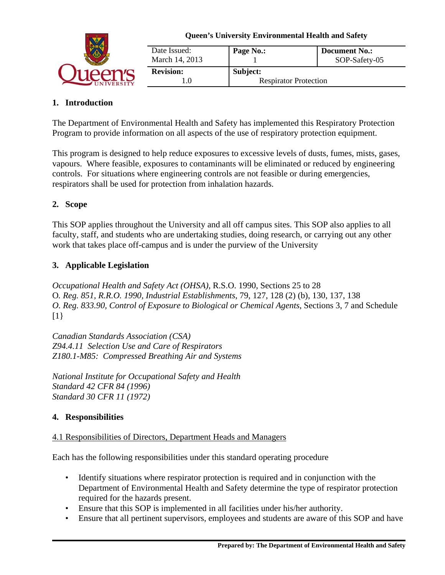

| Date Issued:<br>March 14, 2013 | Page No.:                    | <b>Document No.:</b><br>SOP-Safety-05 |
|--------------------------------|------------------------------|---------------------------------------|
| <b>Revision:</b>               | Subject:                     |                                       |
|                                | <b>Respirator Protection</b> |                                       |

# **1. Introduction**

The Department of Environmental Health and Safety has implemented this Respiratory Protection Program to provide information on all aspects of the use of respiratory protection equipment.

This program is designed to help reduce exposures to excessive levels of dusts, fumes, mists, gases, vapours. Where feasible, exposures to contaminants will be eliminated or reduced by engineering controls. For situations where engineering controls are not feasible or during emergencies, respirators shall be used for protection from inhalation hazards.

# **2. Scope**

This SOP applies throughout the University and all off campus sites. This SOP also applies to all faculty, staff, and students who are undertaking studies, doing research, or carrying out any other work that takes place off-campus and is under the purview of the University

# **3. Applicable Legislation**

*Occupational Health and Safety Act (OHSA)*, R.S.O. 1990, Sections 25 to 28 O*. Reg. 851, R.R.O. 1990, Industrial Establishments*, 79, 127, 128 (2) (b), 130, 137, 138 *O. Reg. 833.90, Control of Exposure to Biological or Chemical Agents*, Sections 3, 7 and Schedule  $[1]$ 

*Canadian Standards Association (CSA) Z94.4.11 Selection Use and Care of Respirators Z180.1-M85: Compressed Breathing Air and Systems*

*National Institute for Occupational Safety and Health Standard 42 CFR 84 (1996) Standard 30 CFR 11 (1972)*

# **4. Responsibilities**

## 4.1 Responsibilities of Directors, Department Heads and Managers

Each has the following responsibilities under this standard operating procedure

- Identify situations where respirator protection is required and in conjunction with the Department of Environmental Health and Safety determine the type of respirator protection required for the hazards present.
- Ensure that this SOP is implemented in all facilities under his/her authority.
- Ensure that all pertinent supervisors, employees and students are aware of this SOP and have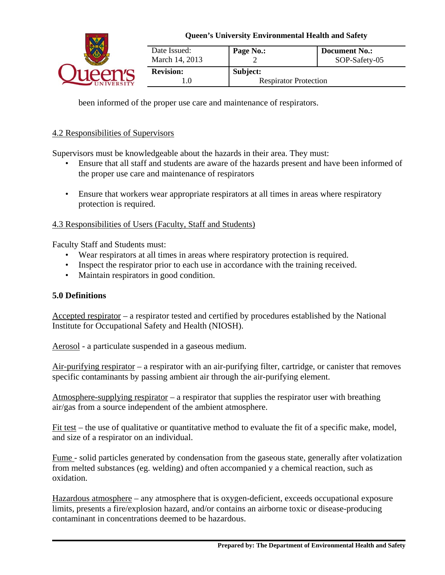

| Date Issued:<br>March 14, 2013 | Page No.:                    | <b>Document No.:</b><br>SOP-Safety-05 |
|--------------------------------|------------------------------|---------------------------------------|
| <b>Revision:</b>               | Subject:                     |                                       |
|                                | <b>Respirator Protection</b> |                                       |

been informed of the proper use care and maintenance of respirators.

#### 4.2 Responsibilities of Supervisors

Supervisors must be knowledgeable about the hazards in their area. They must:

- Ensure that all staff and students are aware of the hazards present and have been informed of the proper use care and maintenance of respirators
- Ensure that workers wear appropriate respirators at all times in areas where respiratory protection is required.

#### 4.3 Responsibilities of Users (Faculty, Staff and Students)

Faculty Staff and Students must:

- Wear respirators at all times in areas where respiratory protection is required.
- Inspect the respirator prior to each use in accordance with the training received.
- Maintain respirators in good condition.

## **5.0 Definitions**

Accepted respirator – a respirator tested and certified by procedures established by the National Institute for Occupational Safety and Health (NIOSH).

Aerosol - a particulate suspended in a gaseous medium.

Air-purifying respirator – a respirator with an air-purifying filter, cartridge, or canister that removes specific contaminants by passing ambient air through the air-purifying element.

Atmosphere-supplying respirator – a respirator that supplies the respirator user with breathing air/gas from a source independent of the ambient atmosphere.

Fit test – the use of qualitative or quantitative method to evaluate the fit of a specific make, model, and size of a respirator on an individual.

Fume - solid particles generated by condensation from the gaseous state, generally after volatization from melted substances (eg. welding) and often accompanied y a chemical reaction, such as oxidation.

Hazardous atmosphere – any atmosphere that is oxygen-deficient, exceeds occupational exposure limits, presents a fire/explosion hazard, and/or contains an airborne toxic or disease-producing contaminant in concentrations deemed to be hazardous.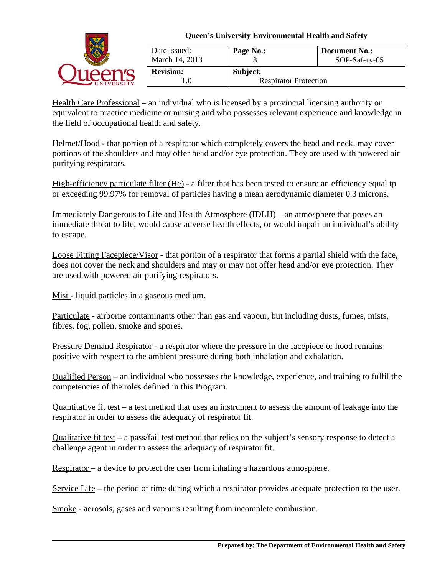

| Date Issued:<br>March 14, 2013 | Page No.:                    | <b>Document No.:</b><br>SOP-Safety-05 |
|--------------------------------|------------------------------|---------------------------------------|
| <b>Revision:</b>               | Subject:                     |                                       |
| LO.                            | <b>Respirator Protection</b> |                                       |

Health Care Professional – an individual who is licensed by a provincial licensing authority or equivalent to practice medicine or nursing and who possesses relevant experience and knowledge in the field of occupational health and safety.

Helmet/Hood - that portion of a respirator which completely covers the head and neck, may cover portions of the shoulders and may offer head and/or eye protection. They are used with powered air purifying respirators.

High-efficiency particulate filter (He) - a filter that has been tested to ensure an efficiency equal tp or exceeding 99.97% for removal of particles having a mean aerodynamic diameter 0.3 microns.

Immediately Dangerous to Life and Health Atmosphere (IDLH) – an atmosphere that poses an immediate threat to life, would cause adverse health effects, or would impair an individual's ability to escape.

Loose Fitting Facepiece/Visor - that portion of a respirator that forms a partial shield with the face, does not cover the neck and shoulders and may or may not offer head and/or eye protection. They are used with powered air purifying respirators.

Mist - liquid particles in a gaseous medium.

Particulate - airborne contaminants other than gas and vapour, but including dusts, fumes, mists, fibres, fog, pollen, smoke and spores.

Pressure Demand Respirator - a respirator where the pressure in the facepiece or hood remains positive with respect to the ambient pressure during both inhalation and exhalation.

Qualified Person – an individual who possesses the knowledge, experience, and training to fulfil the competencies of the roles defined in this Program.

Quantitative fit test – a test method that uses an instrument to assess the amount of leakage into the respirator in order to assess the adequacy of respirator fit.

Qualitative fit test – a pass/fail test method that relies on the subject's sensory response to detect a challenge agent in order to assess the adequacy of respirator fit.

Respirator – a device to protect the user from inhaling a hazardous atmosphere.

Service Life – the period of time during which a respirator provides adequate protection to the user.

Smoke - aerosols, gases and vapours resulting from incomplete combustion.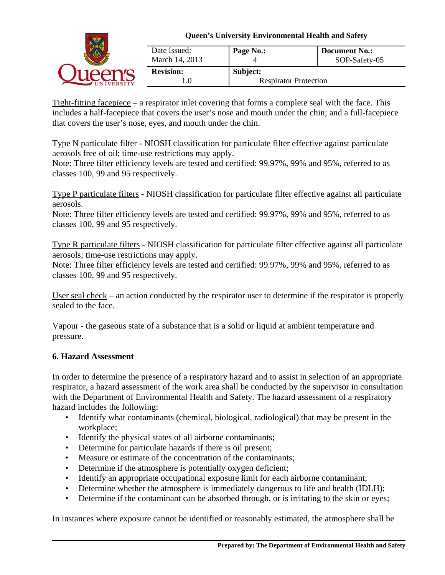

Tight-fitting facepiece – a respirator inlet covering that forms a complete seal with the face. This includes a half-facepiece that covers the user's nose and mouth under the chin; and a full-facepiece that covers the user's nose, eyes, and mouth under the chin.

Type N particulate filter - NIOSH classification for particulate filter effective against particulate aerosols free of oil; time-use restrictions may apply.

Note: Three filter efficiency levels are tested and certified: 99.97%, 99% and 95%, referred to as classes 100, 99 and 95 respectively.

Type P particulate filters - NIOSH classification for particulate filter effective against all particulate aerosols.

Note: Three filter efficiency levels are tested and certified: 99.97%, 99% and 95%, referred to as classes 100, 99 and 95 respectively.

Type R particulate filters - NIOSH classification for particulate filter effective against all particulate aerosols; time-use restrictions may apply.

Note: Three filter efficiency levels are tested and certified: 99.97%, 99% and 95%, referred to as classes 100, 99 and 95 respectively.

User seal check – an action conducted by the respirator user to determine if the respirator is properly sealed to the face.

Vapour - the gaseous state of a substance that is a solid or liquid at ambient temperature and pressure.

## **6. Hazard Assessment**

In order to determine the presence of a respiratory hazard and to assist in selection of an appropriate respirator, a hazard assessment of the work area shall be conducted by the supervisor in consultation with the Department of Environmental Health and Safety. The hazard assessment of a respiratory hazard includes the following:

- Identify what contaminants (chemical, biological, radiological) that may be present in the workplace;
- Identify the physical states of all airborne contaminants;
- Determine for particulate hazards if there is oil present;
- Measure or estimate of the concentration of the contaminants;
- Determine if the atmosphere is potentially oxygen deficient;
- Identify an appropriate occupational exposure limit for each airborne contaminant;
- Determine whether the atmosphere is immediately dangerous to life and health (IDLH);
- Determine if the contaminant can be absorbed through, or is irritating to the skin or eyes;

In instances where exposure cannot be identified or reasonably estimated, the atmosphere shall be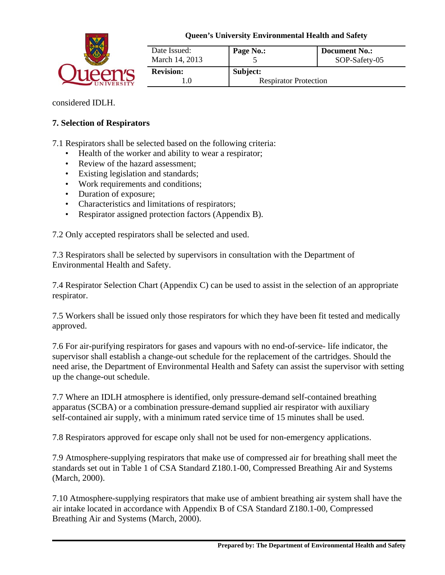

| Date Issued:<br>March 14, 2013 | Page No.:                    | <b>Document No.:</b><br>SOP-Safety-05 |
|--------------------------------|------------------------------|---------------------------------------|
| <b>Revision:</b>               | Subject:                     |                                       |
|                                | <b>Respirator Protection</b> |                                       |

considered IDLH.

## **7. Selection of Respirators**

7.1 Respirators shall be selected based on the following criteria:

- Health of the worker and ability to wear a respirator;
- Review of the hazard assessment;
- Existing legislation and standards;
- Work requirements and conditions;
- Duration of exposure;
- Characteristics and limitations of respirators;
- Respirator assigned protection factors (Appendix B).

7.2 Only accepted respirators shall be selected and used.

7.3 Respirators shall be selected by supervisors in consultation with the Department of Environmental Health and Safety.

7.4 Respirator Selection Chart (Appendix C) can be used to assist in the selection of an appropriate respirator.

7.5 Workers shall be issued only those respirators for which they have been fit tested and medically approved.

7.6 For air-purifying respirators for gases and vapours with no end-of-service- life indicator, the supervisor shall establish a change-out schedule for the replacement of the cartridges. Should the need arise, the Department of Environmental Health and Safety can assist the supervisor with setting up the change-out schedule.

7.7 Where an IDLH atmosphere is identified, only pressure-demand self-contained breathing apparatus (SCBA) or a combination pressure-demand supplied air respirator with auxiliary self-contained air supply, with a minimum rated service time of 15 minutes shall be used.

7.8 Respirators approved for escape only shall not be used for non-emergency applications.

7.9 Atmosphere-supplying respirators that make use of compressed air for breathing shall meet the standards set out in Table 1 of CSA Standard Z180.1-00, Compressed Breathing Air and Systems (March, 2000).

7.10 Atmosphere-supplying respirators that make use of ambient breathing air system shall have the air intake located in accordance with Appendix B of CSA Standard Z180.1-00, Compressed Breathing Air and Systems (March, 2000).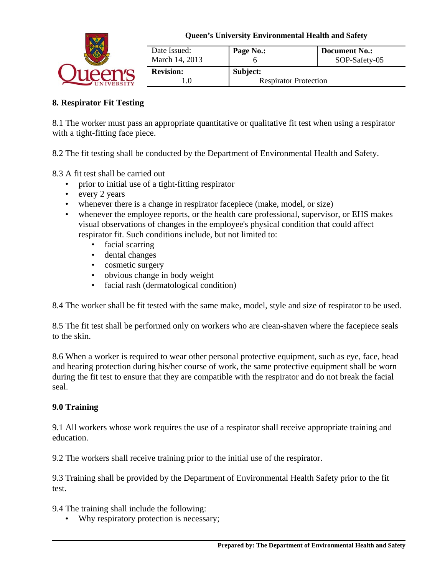

| Date Issued:<br>March 14, 2013 | Page No.:                    | Document No.:<br>SOP-Safety-05 |
|--------------------------------|------------------------------|--------------------------------|
| <b>Revision:</b>               | Subject:                     |                                |
| .0                             | <b>Respirator Protection</b> |                                |

# **8. Respirator Fit Testing**

8.1 The worker must pass an appropriate quantitative or qualitative fit test when using a respirator with a tight-fitting face piece.

8.2 The fit testing shall be conducted by the Department of Environmental Health and Safety.

- 8.3 A fit test shall be carried out
	- prior to initial use of a tight-fitting respirator
	- every 2 years
	- whenever there is a change in respirator facepiece (make, model, or size)
	- whenever the employee reports, or the health care professional, supervisor, or EHS makes visual observations of changes in the employee's physical condition that could affect respirator fit. Such conditions include, but not limited to:
		- facial scarring
		- dental changes
		- cosmetic surgery
		- obvious change in body weight
		- facial rash (dermatological condition)

8.4 The worker shall be fit tested with the same make, model, style and size of respirator to be used.

8.5 The fit test shall be performed only on workers who are clean-shaven where the facepiece seals to the skin.

8.6 When a worker is required to wear other personal protective equipment, such as eye, face, head and hearing protection during his/her course of work, the same protective equipment shall be worn during the fit test to ensure that they are compatible with the respirator and do not break the facial seal.

# **9.0 Training**

9.1 All workers whose work requires the use of a respirator shall receive appropriate training and education.

9.2 The workers shall receive training prior to the initial use of the respirator.

9.3 Training shall be provided by the Department of Environmental Health Safety prior to the fit test.

9.4 The training shall include the following:

• Why respiratory protection is necessary;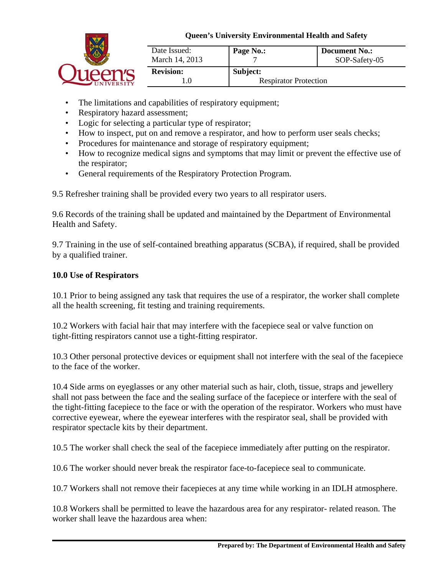

| Date Issued:<br>March 14, 2013 | Page No.:                    | <b>Document No.:</b><br>SOP-Safety-05 |
|--------------------------------|------------------------------|---------------------------------------|
| <b>Revision:</b>               | Subject:                     |                                       |
|                                | <b>Respirator Protection</b> |                                       |

- The limitations and capabilities of respiratory equipment;
- Respiratory hazard assessment;
- Logic for selecting a particular type of respirator;
- How to inspect, put on and remove a respirator, and how to perform user seals checks;
- Procedures for maintenance and storage of respiratory equipment;
- How to recognize medical signs and symptoms that may limit or prevent the effective use of the respirator;
- General requirements of the Respiratory Protection Program.

9.5 Refresher training shall be provided every two years to all respirator users.

9.6 Records of the training shall be updated and maintained by the Department of Environmental Health and Safety.

9.7 Training in the use of self-contained breathing apparatus (SCBA), if required, shall be provided by a qualified trainer.

# **10.0 Use of Respirators**

10.1 Prior to being assigned any task that requires the use of a respirator, the worker shall complete all the health screening, fit testing and training requirements.

10.2 Workers with facial hair that may interfere with the facepiece seal or valve function on tight-fitting respirators cannot use a tight-fitting respirator.

10.3 Other personal protective devices or equipment shall not interfere with the seal of the facepiece to the face of the worker.

10.4 Side arms on eyeglasses or any other material such as hair, cloth, tissue, straps and jewellery shall not pass between the face and the sealing surface of the facepiece or interfere with the seal of the tight-fitting facepiece to the face or with the operation of the respirator. Workers who must have corrective eyewear, where the eyewear interferes with the respirator seal, shall be provided with respirator spectacle kits by their department.

10.5 The worker shall check the seal of the facepiece immediately after putting on the respirator.

10.6 The worker should never break the respirator face-to-facepiece seal to communicate.

10.7 Workers shall not remove their facepieces at any time while working in an IDLH atmosphere.

10.8 Workers shall be permitted to leave the hazardous area for any respirator- related reason. The worker shall leave the hazardous area when: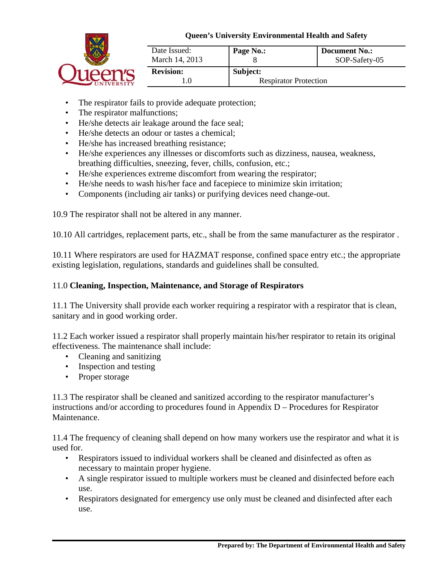

| Date Issued:<br>March 14, 2013 | Page No.:                    | <b>Document No.:</b><br>SOP-Safety-05 |
|--------------------------------|------------------------------|---------------------------------------|
| <b>Revision:</b>               | Subject:                     |                                       |
|                                | <b>Respirator Protection</b> |                                       |

- The respirator fails to provide adequate protection;
- The respirator malfunctions;
- He/she detects air leakage around the face seal;
- He/she detects an odour or tastes a chemical;
- He/she has increased breathing resistance;
- He/she experiences any illnesses or discomforts such as dizziness, nausea, weakness, breathing difficulties, sneezing, fever, chills, confusion, etc.;
- He/she experiences extreme discomfort from wearing the respirator;
- He/she needs to wash his/her face and facepiece to minimize skin irritation;
- Components (including air tanks) or purifying devices need change-out.

10.9 The respirator shall not be altered in any manner.

10.10 All cartridges, replacement parts, etc., shall be from the same manufacturer as the respirator .

10.11 Where respirators are used for HAZMAT response, confined space entry etc.; the appropriate existing legislation, regulations, standards and guidelines shall be consulted.

## 11.0 **Cleaning, Inspection, Maintenance, and Storage of Respirators**

11.1 The University shall provide each worker requiring a respirator with a respirator that is clean, sanitary and in good working order.

11.2 Each worker issued a respirator shall properly maintain his/her respirator to retain its original effectiveness. The maintenance shall include:

- Cleaning and sanitizing
- Inspection and testing
- Proper storage

11.3 The respirator shall be cleaned and sanitized according to the respirator manufacturer's instructions and/or according to procedures found in Appendix D – Procedures for Respirator Maintenance.

11.4 The frequency of cleaning shall depend on how many workers use the respirator and what it is used for.

- Respirators issued to individual workers shall be cleaned and disinfected as often as necessary to maintain proper hygiene.
- A single respirator issued to multiple workers must be cleaned and disinfected before each use.
- Respirators designated for emergency use only must be cleaned and disinfected after each use.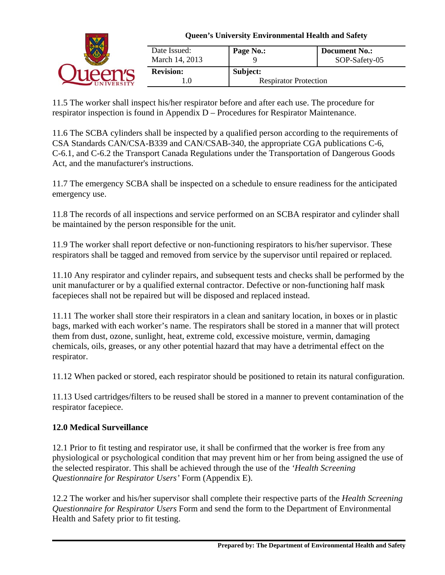

11.5 The worker shall inspect his/her respirator before and after each use. The procedure for respirator inspection is found in Appendix D – Procedures for Respirator Maintenance.

11.6 The SCBA cylinders shall be inspected by a qualified person according to the requirements of CSA Standards CAN/CSA-B339 and CAN/CSAB-340, the appropriate CGA publications C-6, C-6.1, and C-6.2 the Transport Canada Regulations under the Transportation of Dangerous Goods Act, and the manufacturer's instructions.

11.7 The emergency SCBA shall be inspected on a schedule to ensure readiness for the anticipated emergency use.

11.8 The records of all inspections and service performed on an SCBA respirator and cylinder shall be maintained by the person responsible for the unit.

11.9 The worker shall report defective or non-functioning respirators to his/her supervisor. These respirators shall be tagged and removed from service by the supervisor until repaired or replaced.

11.10 Any respirator and cylinder repairs, and subsequent tests and checks shall be performed by the unit manufacturer or by a qualified external contractor. Defective or non-functioning half mask facepieces shall not be repaired but will be disposed and replaced instead.

11.11 The worker shall store their respirators in a clean and sanitary location, in boxes or in plastic bags, marked with each worker's name. The respirators shall be stored in a manner that will protect them from dust, ozone, sunlight, heat, extreme cold, excessive moisture, vermin, damaging chemicals, oils, greases, or any other potential hazard that may have a detrimental effect on the respirator.

11.12 When packed or stored, each respirator should be positioned to retain its natural configuration.

11.13 Used cartridges/filters to be reused shall be stored in a manner to prevent contamination of the respirator facepiece.

# **12.0 Medical Surveillance**

12.1 Prior to fit testing and respirator use, it shall be confirmed that the worker is free from any physiological or psychological condition that may prevent him or her from being assigned the use of the selected respirator. This shall be achieved through the use of the *'Health Screening Questionnaire for Respirator Users'* Form (Appendix E).

12.2 The worker and his/her supervisor shall complete their respective parts of the *Health Screening Questionnaire for Respirator Users* Form and send the form to the Department of Environmental Health and Safety prior to fit testing.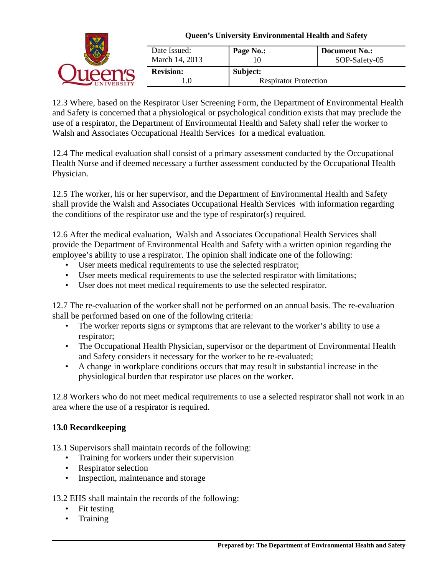| <b>Queen's University Environmental Health and Safety</b> |                                          |                                       |
|-----------------------------------------------------------|------------------------------------------|---------------------------------------|
| Date Issued:<br>March 14, 2013                            | Page No.:                                | <b>Document No.:</b><br>SOP-Safety-05 |
| <b>Revision:</b><br>. .0                                  | Subject:<br><b>Respirator Protection</b> |                                       |

12.3 Where, based on the Respirator User Screening Form, the Department of Environmental Health and Safety is concerned that a physiological or psychological condition exists that may preclude the use of a respirator, the Department of Environmental Health and Safety shall refer the worker to Walsh and Associates Occupational Health Services for a medical evaluation.

12.4 The medical evaluation shall consist of a primary assessment conducted by the Occupational Health Nurse and if deemed necessary a further assessment conducted by the Occupational Health Physician.

12.5 The worker, his or her supervisor, and the Department of Environmental Health and Safety shall provide the Walsh and Associates Occupational Health Services with information regarding the conditions of the respirator use and the type of respirator(s) required.

12.6 After the medical evaluation, Walsh and Associates Occupational Health Services shall provide the Department of Environmental Health and Safety with a written opinion regarding the employee's ability to use a respirator. The opinion shall indicate one of the following:

- User meets medical requirements to use the selected respirator;
- User meets medical requirements to use the selected respirator with limitations;
- User does not meet medical requirements to use the selected respirator.

12.7 The re-evaluation of the worker shall not be performed on an annual basis. The re-evaluation shall be performed based on one of the following criteria:

- The worker reports signs or symptoms that are relevant to the worker's ability to use a respirator;
- The Occupational Health Physician, supervisor or the department of Environmental Health and Safety considers it necessary for the worker to be re-evaluated;
- A change in workplace conditions occurs that may result in substantial increase in the physiological burden that respirator use places on the worker.

12.8 Workers who do not meet medical requirements to use a selected respirator shall not work in an area where the use of a respirator is required.

# **13.0 Recordkeeping**

13.1 Supervisors shall maintain records of the following:

- Training for workers under their supervision
- Respirator selection
- Inspection, maintenance and storage

13.2 EHS shall maintain the records of the following:

- Fit testing
- Training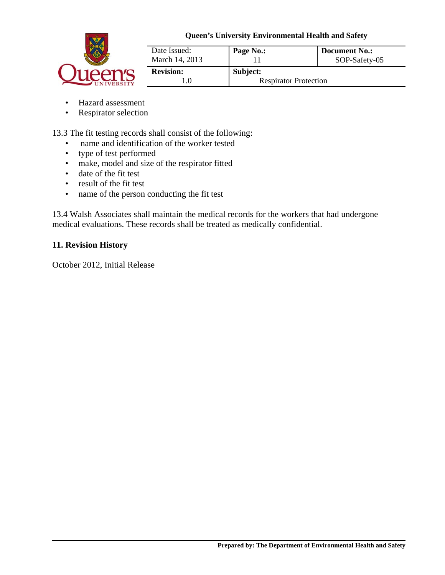

| Date Issued:<br>March 14, 2013 | Page No.:                    | <b>Document No.:</b><br>SOP-Safety-05 |
|--------------------------------|------------------------------|---------------------------------------|
| <b>Revision:</b>               | Subject:                     |                                       |
|                                | <b>Respirator Protection</b> |                                       |

- Hazard assessment
- Respirator selection

13.3 The fit testing records shall consist of the following:

- name and identification of the worker tested
- type of test performed
- make, model and size of the respirator fitted
- date of the fit test
- result of the fit test
- name of the person conducting the fit test

13.4 Walsh Associates shall maintain the medical records for the workers that had undergone medical evaluations. These records shall be treated as medically confidential.

## **11. Revision History**

October 2012, Initial Release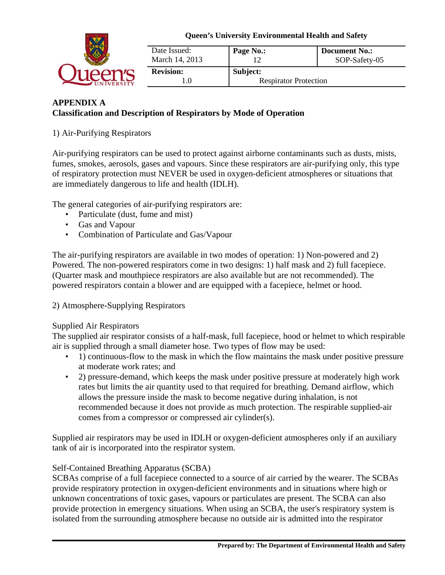

| Date Issued:<br>March 14, 2013 | Page No.:                    | <b>Document No.:</b><br>SOP-Safety-05 |
|--------------------------------|------------------------------|---------------------------------------|
| <b>Revision:</b>               | Subject:                     |                                       |
|                                | <b>Respirator Protection</b> |                                       |

# **APPENDIX A Classification and Description of Respirators by Mode of Operation**

1) Air-Purifying Respirators

Air-purifying respirators can be used to protect against airborne contaminants such as dusts, mists, fumes, smokes, aerosols, gases and vapours. Since these respirators are air-purifying only, this type of respiratory protection must NEVER be used in oxygen-deficient atmospheres or situations that are immediately dangerous to life and health (IDLH).

The general categories of air-purifying respirators are:

- Particulate (dust, fume and mist)
- Gas and Vapour
- Combination of Particulate and Gas/Vapour

The air-purifying respirators are available in two modes of operation: 1) Non-powered and 2) Powered. The non-powered respirators come in two designs: 1) half mask and 2) full facepiece. (Quarter mask and mouthpiece respirators are also available but are not recommended). The powered respirators contain a blower and are equipped with a facepiece, helmet or hood.

2) Atmosphere-Supplying Respirators

## Supplied Air Respirators

The supplied air respirator consists of a half-mask, full facepiece, hood or helmet to which respirable air is supplied through a small diameter hose. Two types of flow may be used:

- 1) continuous-flow to the mask in which the flow maintains the mask under positive pressure at moderate work rates; and
- 2) pressure-demand, which keeps the mask under positive pressure at moderately high work rates but limits the air quantity used to that required for breathing. Demand airflow, which allows the pressure inside the mask to become negative during inhalation, is not recommended because it does not provide as much protection. The respirable supplied-air comes from a compressor or compressed air cylinder(s).

Supplied air respirators may be used in IDLH or oxygen-deficient atmospheres only if an auxiliary tank of air is incorporated into the respirator system.

# Self-Contained Breathing Apparatus (SCBA)

SCBAs comprise of a full facepiece connected to a source of air carried by the wearer. The SCBAs provide respiratory protection in oxygen-deficient environments and in situations where high or unknown concentrations of toxic gases, vapours or particulates are present. The SCBA can also provide protection in emergency situations. When using an SCBA, the user's respiratory system is isolated from the surrounding atmosphere because no outside air is admitted into the respirator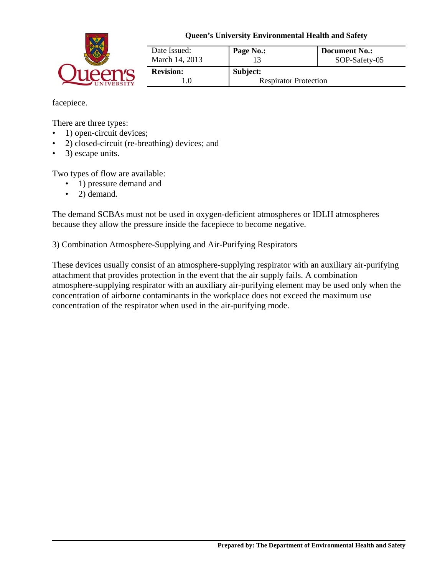

| Date Issued:<br>March 14, 2013 | Page No.:                    | <b>Document No.:</b><br>SOP-Safety-05 |
|--------------------------------|------------------------------|---------------------------------------|
| <b>Revision:</b>               | Subject:                     |                                       |
|                                | <b>Respirator Protection</b> |                                       |

facepiece.

There are three types:

- 1) open-circuit devices;
- 2) closed-circuit (re-breathing) devices; and
- 3) escape units.

Two types of flow are available:

- 1) pressure demand and
- 2) demand.

The demand SCBAs must not be used in oxygen-deficient atmospheres or IDLH atmospheres because they allow the pressure inside the facepiece to become negative.

3) Combination Atmosphere-Supplying and Air-Purifying Respirators

These devices usually consist of an atmosphere-supplying respirator with an auxiliary air-purifying attachment that provides protection in the event that the air supply fails. A combination atmosphere-supplying respirator with an auxiliary air-purifying element may be used only when the concentration of airborne contaminants in the workplace does not exceed the maximum use concentration of the respirator when used in the air-purifying mode.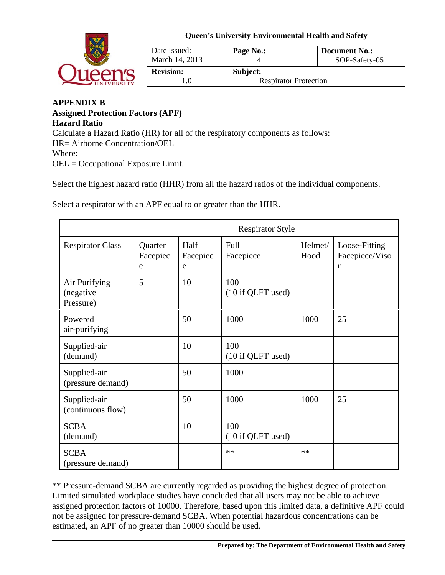

| Date Issued:<br>March 14, 2013 | Page No.:                    | Document No.:<br>SOP-Safety-05 |
|--------------------------------|------------------------------|--------------------------------|
| <b>Revision:</b>               | Subject:                     |                                |
| 1.0                            | <b>Respirator Protection</b> |                                |

#### **APPENDIX B Assigned Protection Factors (APF) Hazard Ratio** Calculate a Hazard Ratio (HR) for all of the respiratory components as follows: HR= Airborne Concentration/OEL Where: OEL = Occupational Exposure Limit.

Select the highest hazard ratio (HHR) from all the hazard ratios of the individual components.

Select a respirator with an APF equal to or greater than the HHR.

|                                         | <b>Respirator Style</b>  |                       |                          |                 |                                      |
|-----------------------------------------|--------------------------|-----------------------|--------------------------|-----------------|--------------------------------------|
| <b>Respirator Class</b>                 | Quarter<br>Facepiec<br>e | Half<br>Facepiec<br>e | Full<br>Facepiece        | Helmet/<br>Hood | Loose-Fitting<br>Facepiece/Viso<br>r |
| Air Purifying<br>(negative<br>Pressure) | 5                        | 10                    | 100<br>(10 if QLFT used) |                 |                                      |
| Powered<br>air-purifying                |                          | 50                    | 1000                     | 1000            | 25                                   |
| Supplied-air<br>(demand)                |                          | 10                    | 100<br>(10 if QLFT used) |                 |                                      |
| Supplied-air<br>(pressure demand)       |                          | 50                    | 1000                     |                 |                                      |
| Supplied-air<br>(continuous flow)       |                          | 50                    | 1000                     | 1000            | 25                                   |
| <b>SCBA</b><br>(demand)                 |                          | 10                    | 100<br>(10 if QLFT used) |                 |                                      |
| <b>SCBA</b><br>(pressure demand)        |                          |                       | $**$                     | $**$            |                                      |

\*\* Pressure-demand SCBA are currently regarded as providing the highest degree of protection. Limited simulated workplace studies have concluded that all users may not be able to achieve assigned protection factors of 10000. Therefore, based upon this limited data, a definitive APF could not be assigned for pressure-demand SCBA. When potential hazardous concentrations can be estimated, an APF of no greater than 10000 should be used.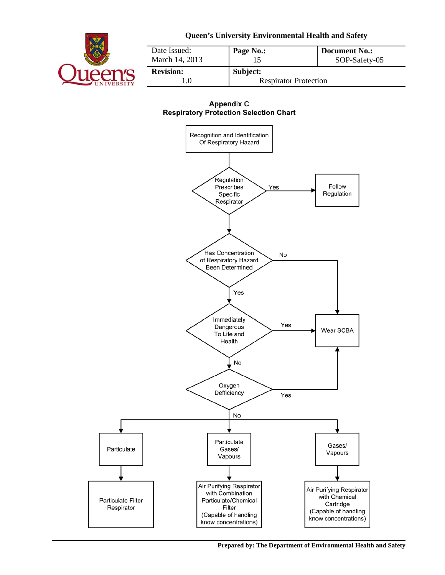

| Date Issued:<br>March 14, 2013 | Page No.:                    | <b>Document No.:</b><br>SOP-Safety-05 |  |
|--------------------------------|------------------------------|---------------------------------------|--|
| <b>Revision:</b>               | Subject:                     |                                       |  |
|                                | <b>Respirator Protection</b> |                                       |  |

#### **Appendix C Respiratory Protection Selection Chart**



**Prepared by: The Department of Environmental Health and Safety**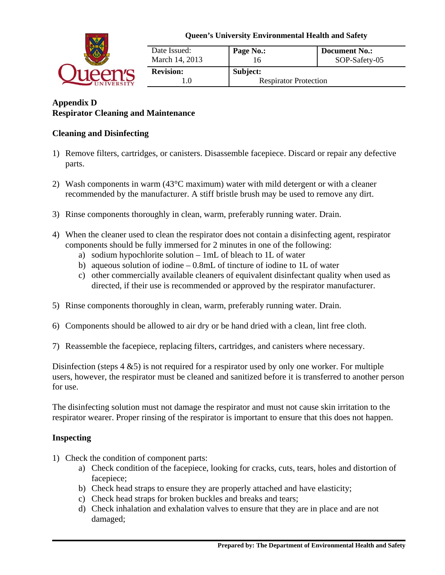

| Date Issued:<br>March 14, 2013 | Page No.:                    | <b>Document No.:</b><br>SOP-Safety-05 |  |
|--------------------------------|------------------------------|---------------------------------------|--|
| <b>Revision:</b>               | Subject:                     |                                       |  |
| 1.0                            | <b>Respirator Protection</b> |                                       |  |

# **Appendix D Respirator Cleaning and Maintenance**

## **Cleaning and Disinfecting**

- 1) Remove filters, cartridges, or canisters. Disassemble facepiece. Discard or repair any defective parts.
- 2) Wash components in warm (43°C maximum) water with mild detergent or with a cleaner recommended by the manufacturer. A stiff bristle brush may be used to remove any dirt.
- 3) Rinse components thoroughly in clean, warm, preferably running water. Drain.
- 4) When the cleaner used to clean the respirator does not contain a disinfecting agent, respirator components should be fully immersed for 2 minutes in one of the following:
	- a) sodium hypochlorite solution 1mL of bleach to 1L of water
	- b) aqueous solution of iodine 0.8mL of tincture of iodine to 1L of water
	- c) other commercially available cleaners of equivalent disinfectant quality when used as directed, if their use is recommended or approved by the respirator manufacturer.
- 5) Rinse components thoroughly in clean, warm, preferably running water. Drain.
- 6) Components should be allowed to air dry or be hand dried with a clean, lint free cloth.
- 7) Reassemble the facepiece, replacing filters, cartridges, and canisters where necessary.

Disinfection (steps 4 &5) is not required for a respirator used by only one worker. For multiple users, however, the respirator must be cleaned and sanitized before it is transferred to another person for use.

The disinfecting solution must not damage the respirator and must not cause skin irritation to the respirator wearer. Proper rinsing of the respirator is important to ensure that this does not happen.

## **Inspecting**

- 1) Check the condition of component parts:
	- a) Check condition of the facepiece, looking for cracks, cuts, tears, holes and distortion of facepiece;
	- b) Check head straps to ensure they are properly attached and have elasticity;
	- c) Check head straps for broken buckles and breaks and tears;
	- d) Check inhalation and exhalation valves to ensure that they are in place and are not damaged;